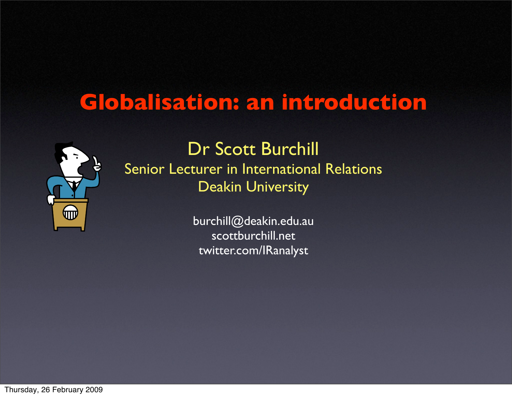## **Globalisation: an introduction**



Dr Scott Burchill Senior Lecturer in International Relations Deakin University

> [burchill@deakin.edu.au](mailto:burchill@deakin.edu.au) scottburchill.net twitter.com/IRanalyst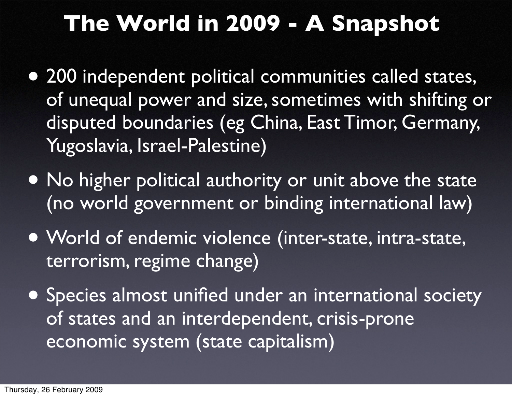# **The World in 2009 - A Snapshot**

- 200 independent political communities called states, of unequal power and size, sometimes with shifting or disputed boundaries (eg China, East Timor, Germany, Yugoslavia, Israel-Palestine)
- No higher political authority or unit above the state (no world government or binding international law)
- World of endemic violence (inter-state, intra-state, terrorism, regime change)
- Species almost unified under an international society of states and an interdependent, crisis-prone economic system (state capitalism)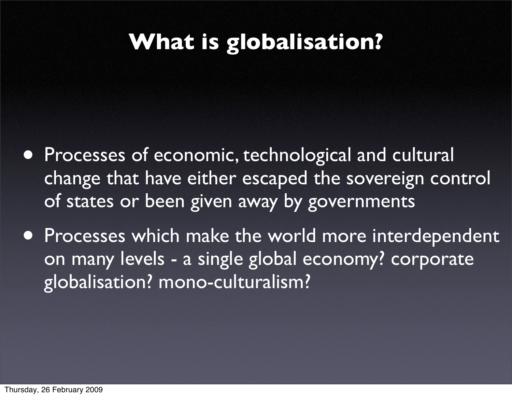# **What is globalisation?**

- Processes of economic, technological and cultural change that have either escaped the sovereign control of states or been given away by governments
- Processes which make the world more interdependent on many levels - a single global economy? corporate globalisation? mono-culturalism?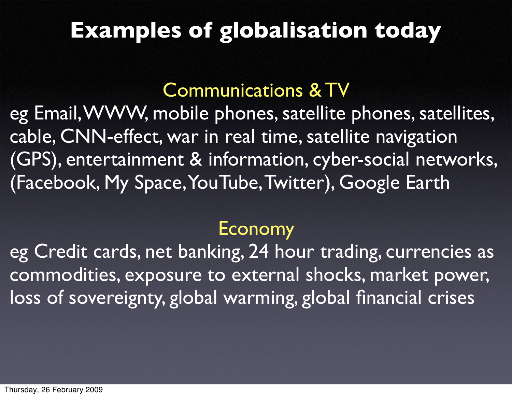## **Examples of globalisation today**

### Communications & TV

eg Email, WWW, mobile phones, satellite phones, satellites, cable, CNN-effect, war in real time, satellite navigation (GPS), entertainment & information, cyber-social networks, (Facebook, My Space, YouTube, Twitter), Google Earth

#### Economy

eg Credit cards, net banking, 24 hour trading, currencies as commodities, exposure to external shocks, market power, loss of sovereignty, global warming, global financial crises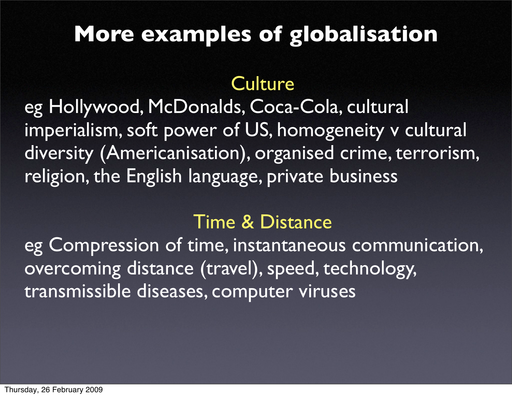# **More examples of globalisation**

### **Culture**

eg Hollywood, McDonalds, Coca-Cola, cultural imperialism, soft power of US, homogeneity v cultural diversity (Americanisation), organised crime, terrorism, religion, the English language, private business

#### Time & Distance

eg Compression of time, instantaneous communication, overcoming distance (travel), speed, technology, transmissible diseases, computer viruses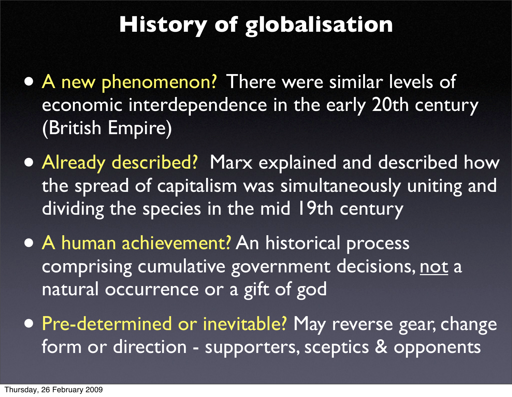# **History of globalisation**

- A new phenomenon? There were similar levels of economic interdependence in the early 20th century (British Empire)
- Already described? Marx explained and described how the spread of capitalism was simultaneously uniting and dividing the species in the mid 19th century
- A human achievement? An historical process comprising cumulative government decisions, not a natural occurrence or a gift of god
- Pre-determined or inevitable? May reverse gear, change form or direction - supporters, sceptics & opponents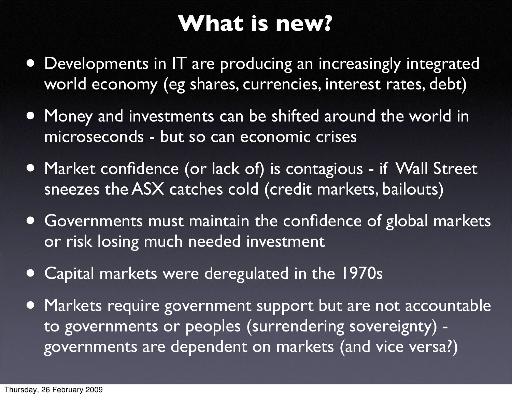# **What is new?**

- Developments in IT are producing an increasingly integrated world economy (eg shares, currencies, interest rates, debt)
- Money and investments can be shifted around the world in microseconds - but so can economic crises
- Market confidence (or lack of) is contagious if Wall Street sneezes the ASX catches cold (credit markets, bailouts)
- Governments must maintain the confidence of global markets or risk losing much needed investment
- Capital markets were deregulated in the 1970s
- Markets require government support but are not accountable to governments or peoples (surrendering sovereignty) governments are dependent on markets (and vice versa?)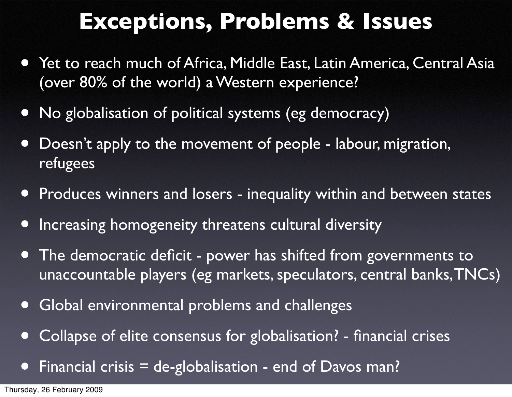# **Exceptions, Problems & Issues**

- Yet to reach much of Africa, Middle East, Latin America, Central Asia (over 80% of the world) a Western experience?
- No globalisation of political systems (eg democracy)
- Doesn't apply to the movement of people labour, migration, refugees
- Produces winners and losers inequality within and between states
- Increasing homogeneity threatens cultural diversity
- The democratic deficit power has shifted from governments to unaccountable players (eg markets, speculators, central banks, TNCs)
- Global environmental problems and challenges
- Collapse of elite consensus for globalisation? financial crises
- Financial crisis = de-globalisation end of Davos man?